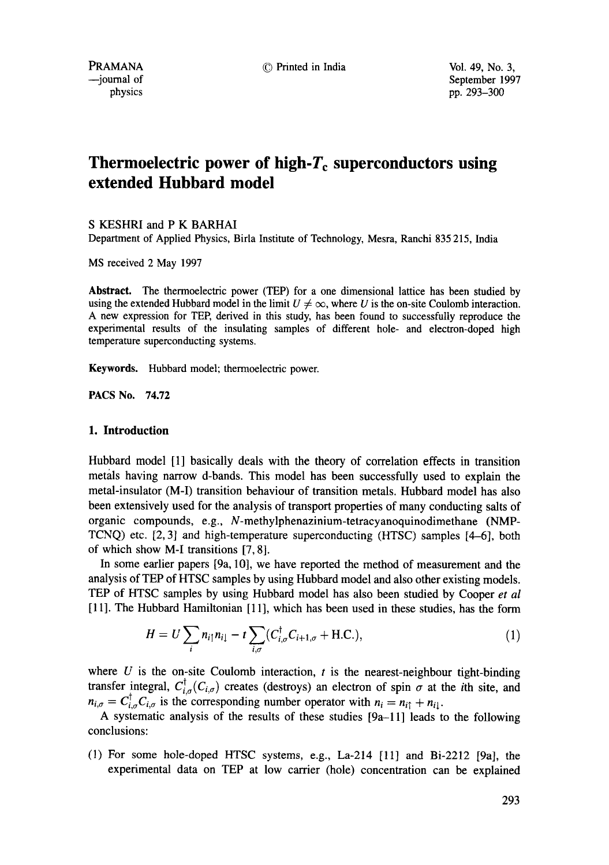PRAMANA © Printed in India Vol. 49, No. 3,

--journal of September 1997 physics pp. 293-300

# **Thermoelectric power of high-** $T_c$  **superconductors using extended Hubbard model**

S KESHRI and P K BARHAI

Department of Applied Physics, Birla Institute of Technology, Mesra, Ranchi 835 215, India

MS received 2 May 1997

**Abstract.** The thermoelectric power (TEP) for a one dimensional lattice has been studied by using the extended Hubbard model in the limit  $U \neq \infty$ , where U is the on-site Coulomb interaction. A new expression for TEP, derived in this study, has been found to successfully reproduce the experimental results of the insulating samples of different hole- and electron-doped high temperature superconducting systems.

**Keywords.** Hubbard model; thermoelectric power.

PACS No. 74.72

## **I. Introduction**

Hubbard model [1] basically deals with the theory of correlation effects in transition metals having narrow d-bands. This model has been successfully used to explain the metal-insulator (M-I) transition behaviour of transition metals. Hubbard model has also been extensively used for the analysis of transport properties of many conducting salts of organic compounds, e.g., N-methylphenazinium-tetracyanoquinodimethane (NMP-TCNQ) etc. [2, 3] and high-temperature superconducting (HTSC) samples [4-6], both of which show M-I transitions [7, 8].

In some earlier papers [9a, 10], we have reported the method of measurement and the analysis of TEP of HTSC samples by using Hubbard model and also other existing models. TEP of HTSC samples by using Hubbard model has also been studied by Cooper *et al*  [11]. The Hubbard Hamiltonian [11], which has been used in these studies, has the form

$$
H = U \sum_{i} n_{i\uparrow} n_{i\downarrow} - t \sum_{i,\sigma} (C^{\dagger}_{i,\sigma} C_{i+1,\sigma} + \text{H.C.}), \tag{1}
$$

where  $U$  is the on-site Coulomb interaction,  $t$  is the nearest-neighbour tight-binding transfer integral,  $C^{\dagger}_{i,\sigma}(C_{i,\sigma})$  creates (destroys) an electron of spin  $\sigma$  at the *i*th site, and  $n_{i,\sigma} = C^{\dagger}_{i,\sigma} C_{i,\sigma}$  is the corresponding number operator with  $n_i = n_{i\uparrow} + n_{i\downarrow}$ .

A systematic analysis of the results of these studies [9a-11] leads to the following conclusions:

(1) For some hole-doped HTSC systems, e.g., La-214 [11] and Bi-2212 [9a], the experimental data on TEP at low carrier (hole) concentration can be explained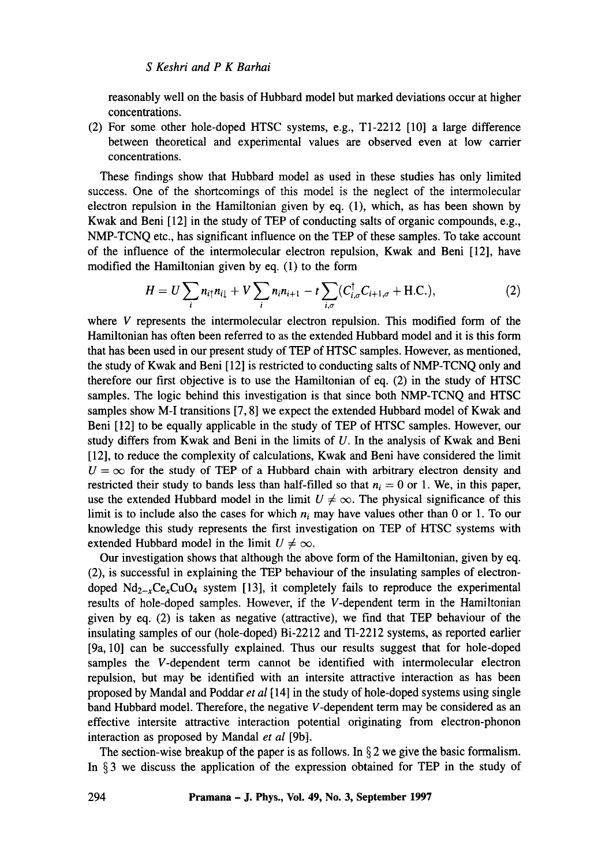## *S Keshri and P K Barhai*

reasonably well on the basis of Hubbard model but marked deviations occur at higher concentrations.

(2) For some other hole-doped HTSC systems, e.g., T1-2212 [10] a large difference between theoretical and experimental values are observed even at low carrier concentrations.

These findings show that Hubbard model as used in these studies has only limited success. One of the shortcomings of this model is the neglect of the intermolecular electron repulsion in the Hamiltonian given by eq. (1), which, as has been shown by Kwak and Beni [12] in the study of TEP of conducting salts of organic compounds, e.g., NMP-TCNQ etc., has significant influence on the TEP of these samples. To take account of the influence of the intermolecular electron repulsion, Kwak and Beni [12], have modified the Hamiltonian given by eq. (1) to the form

$$
H = U \sum_{i} n_{i\uparrow} n_{i\downarrow} + V \sum_{i} n_{i} n_{i+1} - t \sum_{i,\sigma} (C_{i,\sigma}^{\dagger} C_{i+1,\sigma} + \text{H.C.}), \tag{2}
$$

where V represents the intermolecular electron repulsion. This modified form of the Hamiltonian has often been referred to as the extended Hubbard model and it is this form that has been used in our present study of TEP of HTSC samples. However, as mentioned, the study of Kwak and Beni [12] is restricted to conducting salts of NMP-TCNQ only and therefore our first objective is to use the Hamiltonian of eq. (2) in the study of HTSC samples. The logic behind this investigation is that since both NMP-TCNQ and HTSC samples show M-I transitions [7, 8] we expect the extended Hubbard model of Kwak and Beni [12] to be equally applicable in the study of TEP of HTSC samples. However, our study differs from Kwak and Beni in the limits of  $U$ . In the analysis of Kwak and Beni [12], to reduce the complexity of calculations, Kwak and Beni have considered the limit  $U = \infty$  for the study of TEP of a Hubbard chain with arbitrary electron density and restricted their study to bands less than half-filled so that  $n_i = 0$  or 1. We, in this paper, use the extended Hubbard model in the limit  $U \neq \infty$ . The physical significance of this limit is to include also the cases for which  $n_i$  may have values other than 0 or 1. To our knowledge this study represents the first investigation on TEP of HTSC systems with extended Hubbard model in the limit  $U \neq \infty$ .

Our investigation shows that although the above form of the Hamiltonian, given by eq. (2), is successful in explaining the TEP behaviour of the insulating samples of electrondoped  $Nd_{2-x}Ce_xCuO_4$  system [13], it completely fails to reproduce the experimental results of hole-doped samples. However, if the V-dependent term in the Hamiltonian given by eq. (2) is taken as negative (attractive), we find that TEP behaviour of the insulating samples of our (hole-doped) Bi-2212 and T1-2212 systems, as reported earlier [9a, 10] can be successfully explained. Thus our results suggest that for hole-doped samples the V-dependent term cannot be identified with intermolecular electron repulsion, but may be identified with an intersite attractive interaction as has been proposed by Mandal and Poddar *et al[* 14] in the study of hole-doped systems using single band Hubbard model. Therefore, the negative V-dependent term may be considered as an effective intersite attractive interaction potential originating from electron-phonon interaction as proposed by Mandal *et al* [9b].

The section-wise breakup of the paper is as follows. In  $\S 2$  we give the basic formalism. In § 3 we discuss the application of the expression obtained for TEP in the study of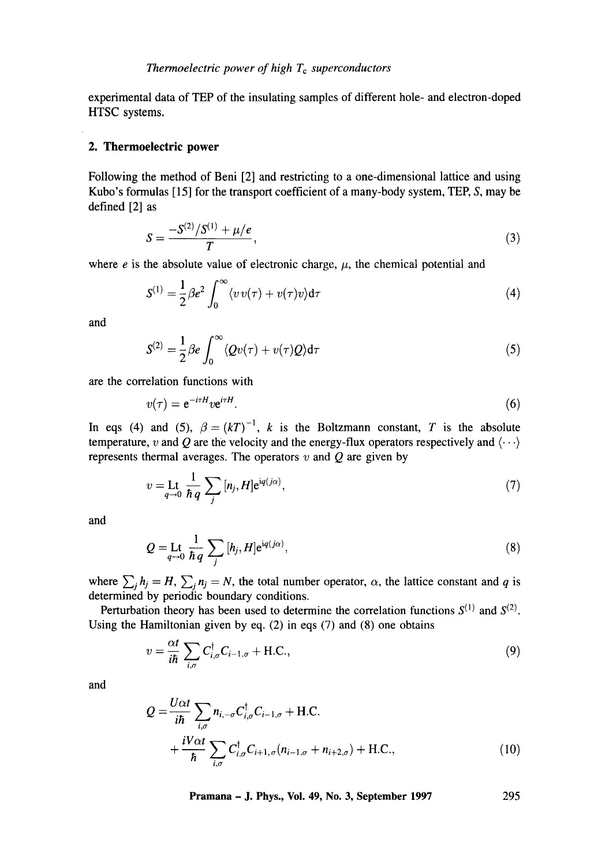experimental data of TEP of the insulating samples of different hole- and electron-doped HTSC systems.

## **2. Thermoelectric power**

Following the method of Beni [2] and restricting to a one-dimensional lattice and using Kubo's formulas  $[15]$  for the transport coefficient of a many-body system, TEP, S, may be defined [2] as

$$
S = \frac{-S^{(2)}/S^{(1)} + \mu/e}{T},\tag{3}
$$

where  $e$  is the absolute value of electronic charge,  $\mu$ , the chemical potential and

$$
S^{(1)} = \frac{1}{2} \beta e^2 \int_0^\infty \langle v v(\tau) + v(\tau) v \rangle d\tau \tag{4}
$$

and

$$
S^{(2)} = \frac{1}{2} \beta e \int_0^\infty \langle Qv(\tau) + v(\tau)Q \rangle d\tau \tag{5}
$$

are the correlation functions with

$$
v(\tau) = e^{-i\tau H} v e^{i\tau H}.
$$
\n(6)

In eqs (4) and (5),  $\beta = (kT)^{-1}$ , *k* is the Boltzmann constant, *T* is the absolute temperature, v and Q are the velocity and the energy-flux operators respectively and  $\langle \cdots \rangle$ represents thermal averages. The operators  $v$  and  $Q$  are given by

$$
v = \operatorname{Lt}_{q \to 0} \frac{1}{\hbar q} \sum_{j} [n_j, H] e^{iq(j\alpha)}, \tag{7}
$$

and

$$
Q = \mathop{\rm Lt}_{q \to 0} \frac{1}{\hbar q} \sum_{j} [h_j, H] e^{iq(j\alpha)}, \tag{8}
$$

where  $\sum_j h_j = H$ ,  $\sum_j n_j = N$ , the total number operator,  $\alpha$ , the lattice constant and q is determined by periodic boundary conditions.

Perturbation theory has been used to determine the correlation functions  $S^{(1)}$  and  $S^{(2)}$ . Using the Hamiltonian given by eq. (2) in eqs (7) and (8) one obtains

$$
v = \frac{\alpha t}{i\hbar} \sum_{i,\sigma} C_{i,\sigma}^{\dagger} C_{i-1,\sigma} + \text{H.C.},
$$
\n(9)

and

$$
Q = \frac{U\alpha t}{i\hbar} \sum_{i,\sigma} n_{i,-\sigma} C_{i,\sigma}^{\dagger} C_{i-1,\sigma} + \text{H.C.} + \frac{iV\alpha t}{\hbar} \sum_{i,\sigma} C_{i,\sigma}^{\dagger} C_{i+1,\sigma} (n_{i-1,\sigma} + n_{i+2,\sigma}) + \text{H.C.},
$$
\n(10)

**Pramana - J. Phys., Vol. 49, No. 3, September 1997 295**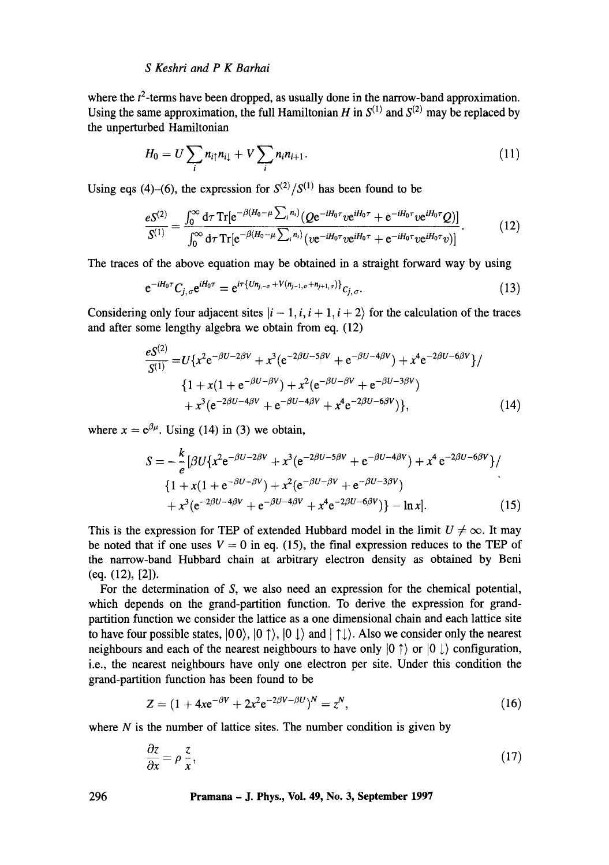# *S Keshri and P K Barhai*

where the  $t^2$ -terms have been dropped, as usually done in the narrow-band approximation. Using the same approximation, the full Hamiltonian H in  $S^{(1)}$  and  $S^{(2)}$  may be replaced by the unperturbed Hamiltonian

$$
H_0 = U \sum_i n_{i\uparrow} n_{i\downarrow} + V \sum_i n_i n_{i+1}.
$$
 (11)

Using eqs (4)–(6), the expression for  $S^{(2)}/S^{(1)}$  has been found to be

$$
\frac{eS^{(2)}}{S^{(1)}} = \frac{\int_0^\infty d\tau \operatorname{Tr} [e^{-\beta(H_0 - \mu \sum_i n_i)} (Q e^{-iH_0 \tau} v e^{iH_0 \tau} + e^{-iH_0 \tau} v e^{iH_0 \tau} Q)]}{\int_0^\infty d\tau \operatorname{Tr} [e^{-\beta(H_0 - \mu \sum_i n_i)} (v e^{-iH_0 \tau} v e^{iH_0 \tau} + e^{-iH_0 \tau} v e^{iH_0 \tau} v)]}.
$$
(12)

The traces of the above equation may be obtained in a straight forward way by using

$$
e^{-iH_0\tau}C_{j,\sigma}e^{iH_0\tau} = e^{i\tau\{Un_{j,-\sigma} + V(n_{j-1,\sigma} + n_{j+1,\sigma})\}}c_{j,\sigma}.
$$
\n(13)

Considering only four adjacent sites  $|i - 1, i, i + 1, i + 2\rangle$  for the calculation of the traces and after some lengthy algebra we obtain from eq. (12)

$$
\frac{eS^{(2)}}{S^{(1)}} = U\{x^2e^{-\beta U - 2\beta V} + x^3(e^{-2\beta U - 5\beta V} + e^{-\beta U - 4\beta V}) + x^4e^{-2\beta U - 6\beta V}\}/\
$$
  

$$
\{1 + x(1 + e^{-\beta U - \beta V}) + x^2(e^{-\beta U - \beta V} + e^{-\beta U - 3\beta V}) + x^3(e^{-2\beta U - 4\beta V} + e^{-\beta U - 4\beta V} + x^4e^{-2\beta U - 6\beta V})\},
$$
(14)

where  $x = e^{\beta \mu}$ . Using (14) in (3) we obtain,

 $\mathbf{r}$ 

$$
S = -\frac{k}{e} \left[ \beta U \{ x^2 e^{-\beta U - 2\beta V} + x^3 (e^{-2\beta U - 5\beta V} + e^{-\beta U - 4\beta V}) + x^4 e^{-2\beta U - 6\beta V} \} / \left\{ 1 + x (1 + e^{-\beta U - \beta V}) + x^2 (e^{-\beta U - \beta V} + e^{-\beta U - 3\beta V}) + x^3 (e^{-2\beta U - 4\beta V} + e^{-\beta U - 4\beta V} + x^4 e^{-2\beta U - 6\beta V}) \} - \ln x \right].
$$
 (15)

This is the expression for TEP of extended Hubbard model in the limit  $U \neq \infty$ . It may be noted that if one uses  $V = 0$  in eq. (15), the final expression reduces to the TEP of the narrow-band Hubbard chain at arbitrary electron density as obtained by Beni (eq. (12), [2]).

For the determination of S, we also need an expression for the chemical potential, which depends on the grand-partition function. To derive the expression for grandpartition function we consider the lattice as a one dimensional chain and each lattice site to have four possible states,  $|00\rangle$ ,  $|01\rangle$ ,  $|01\rangle$  and  $|11\rangle$ . Also we consider only the nearest neighbours and each of the nearest neighbours to have only  $|0 \uparrow \rangle$  or  $|0 \downarrow \rangle$  configuration, i.e., the nearest neighbours have only one electron per site. Under this condition the grand-partition function has been found to be

$$
Z = (1 + 4xe^{-\beta V} + 2x^2e^{-2\beta V - \beta U})^N = z^N,
$$
\n(16)

where  $N$  is the number of lattice sites. The number condition is given by

$$
\frac{\partial z}{\partial x} = \rho \frac{z}{x},\tag{17}
$$

**296 Pramana - J. Phys., Vol. 49, No. 3, September 1997**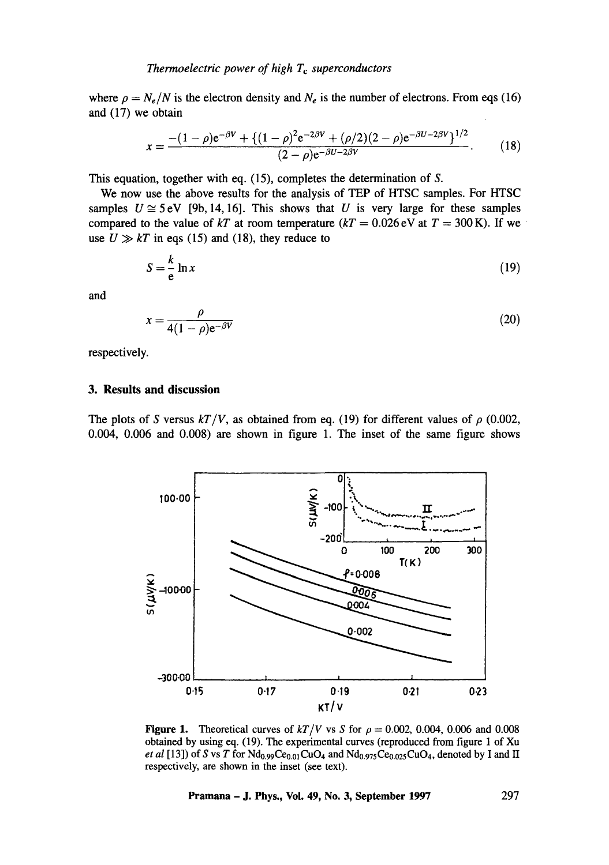where  $\rho = N_e/N$  is the electron density and  $N_e$  is the number of electrons. From eqs (16) and (17) we obtain

$$
x = \frac{- (1 - \rho)e^{-\beta V} + \{ (1 - \rho)^2 e^{-2\beta V} + (\rho/2)(2 - \rho)e^{-\beta U - 2\beta V} \}^{1/2}}{(2 - \rho)e^{-\beta U - 2\beta V}}.
$$
(18)

This equation, together with eq. (15), completes the determination of S.

We now use the above results for the analysis of TEP of HTSC samples. For HTSC samples  $U \cong 5eV$  [9b, 14, 16]. This shows that U is very large for these samples compared to the value of  $kT$  at room temperature  $(kT = 0.026 \text{ eV}$  at  $T = 300 \text{ K}$ ). If we use  $U \gg kT$  in eqs (15) and (18), they reduce to

$$
S = \frac{k}{e} \ln x \tag{19}
$$

and

$$
x = \frac{\rho}{4(1-\rho)e^{-\beta V}}
$$
\n(20)

respectively.

## **3. Results and discussion**

The plots of S versus  $kT/V$ , as obtained from eq. (19) for different values of  $\rho$  (0.002, 0.004, 0.006 and 0.008) are shown in figure 1. The inset of the same figure shows



Figure 1. Theoretical curves of  $kT/V$  vs S for  $\rho = 0.002, 0.004, 0.006$  and 0.008 obtained by using eq. (19). The experimental curves (reproduced from figure 1 of Xu *et al* [13]) of S vs T for  $Nd_{0.99}Ce_{0.01}CuO_4$  and  $Nd_{0.975}Ce_{0.025}CuO_4$ , denoted by I and II respectively, are shown in the inset (see text).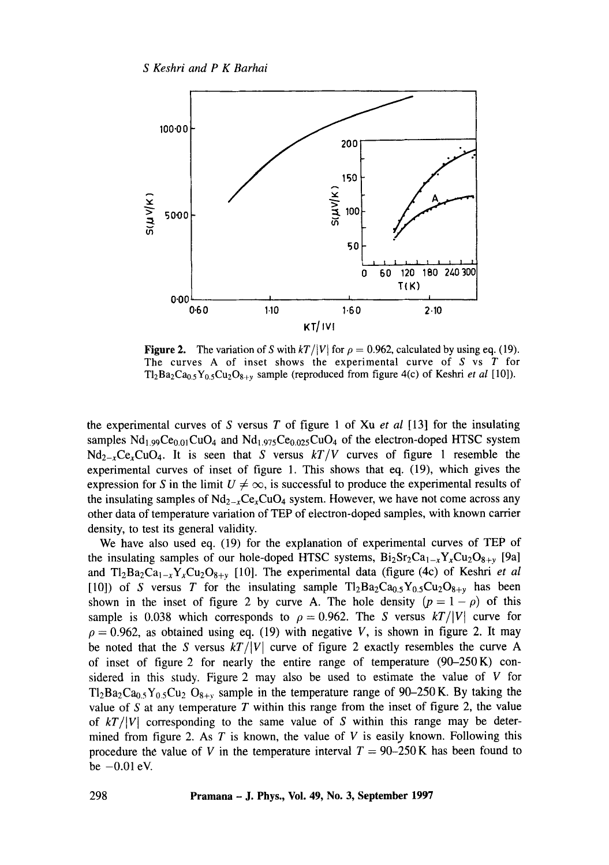

**Figure 2.** The variation of S with  $kT/|V|$  for  $\rho = 0.962$ , calculated by using eq. (19). The curves A of inset shows the experimental curve of  $S$  vs  $T$  for  $Tl_2Ba_2Ca_{0.5}Y_{0.5}Cu_2O_{8+y}$  sample (reproduced from figure 4(c) of Keshri *et al* [10]).

the experimental curves of S versus T of figure 1 of Xu *et al* [13] for the insulating samples  $Nd_{1.99}Ce_{0.01}CuO_4$  and  $Nd_{1.975}Ce_{0.025}CuO_4$  of the electron-doped HTSC system  $Nd_{2-x}Ce_xCuO_4$ . It is seen that S versus  $kT/V$  curves of figure 1 resemble the experimental curves of inset of figure 1. This shows that eq. (19), which gives the expression for S in the limit  $U \neq \infty$ , is successful to produce the experimental results of the insulating samples of  $Nd_{2-x}Ce_xCuO_4$  system. However, we have not come across any other data of temperature variation of TEP of electron-doped samples, with known cartier density, to test its general validity.

We have also used eq. (19) for the explanation of experimental curves of TEP of the insulating samples of our hole-doped HTSC systems,  $Bi_2Sr_2Ca_{1-x}Y_xCu_2O_{8+y}$  [9a] and  $Tl_2Ba_2Ca_{1-x}Y_xCu_2O_{8+y}$  [10]. The experimental data (figure (4c) of Keshri *et al* [10]) of S versus T for the insulating sample  $T_2Ba_2Ca_{0.5}Y_{0.5}Cu_2O_{8+\nu}$  has been shown in the inset of figure 2 by curve A. The hole density  $(p = 1 - \rho)$  of this sample is 0.038 which corresponds to  $\rho = 0.962$ . The S versus  $kT/|V|$  curve for  $\rho = 0.962$ , as obtained using eq. (19) with negative V, is shown in figure 2. It may be noted that the S versus  $kT/|V|$  curve of figure 2 exactly resembles the curve A of inset of figure 2 for nearly the entire range of temperature  $(90-250 \text{ K})$  considered in this study. Figure 2 may also be used to estimate the value of  $V$  for  $T_2Ba_2Ca_{0.5}Y_{0.5}Cu_2O_{8+v}$  sample in the temperature range of 90-250 K. By taking the value of S at any temperature  $T$  within this range from the inset of figure 2, the value of  $kT/|V|$  corresponding to the same value of S within this range may be determined from figure 2. As T is known, the value of V is easily known. Following this procedure the value of V in the temperature interval  $T = 90-250$  K has been found to be  $-0.01$  eV.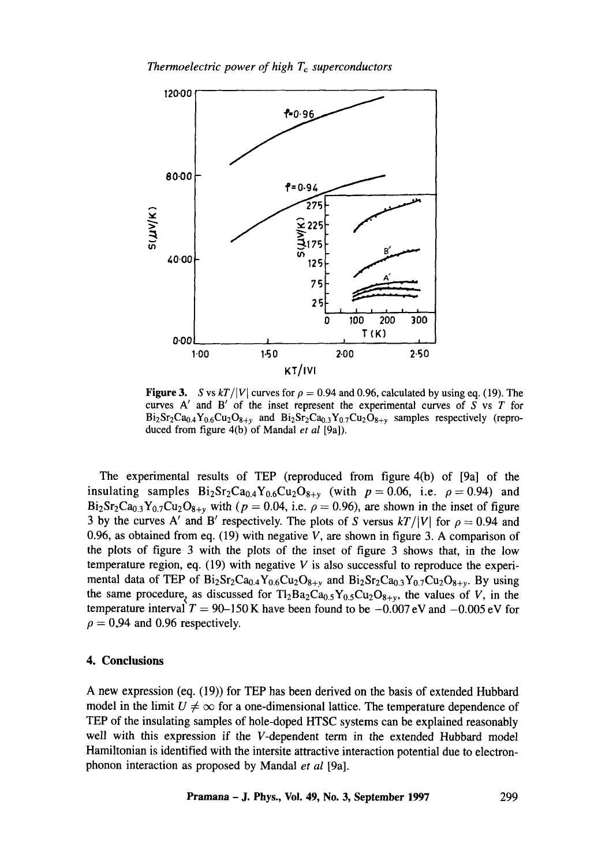

Figure 3. S vs  $kT/|V|$  curves for  $\rho = 0.94$  and 0.96, calculated by using eq. (19). The curves  $A'$  and  $B'$  of the inset represent the experimental curves of  $S$  vs  $T$  for  $Bi_2Sr_2Ca_{0.4}Y_{0.6}Cu_2O_{8+y}$  and  $Bi_2Sr_2Ca_{0.3}Y_{0.7}Cu_2O_{8+y}$  samples respectively (reproduced from figure 4(b) of Mandal *et al* [9a]).

The experimental results of TEP (reproduced from figure 4(b) of [9a] of the insulating samples  $Bi_2Sr_2Ca_{0.4}Y_{0.6}Cu_2O_{8+y}$  (with  $p = 0.06$ , i.e.  $\rho = 0.94$ ) and Bi<sub>2</sub>Sr<sub>2</sub>Ca<sub>0.3</sub>Y<sub>0.7</sub>Cu<sub>2</sub>O<sub>8+y</sub> with ( $p = 0.04$ , i.e.  $\rho = 0.96$ ), are shown in the inset of figure 3 by the curves A' and B' respectively. The plots of S versus  $kT/|V|$  for  $\rho = 0.94$  and 0.96, as obtained from eq. (19) with negative  $V$ , are shown in figure 3. A comparison of the plots of figure 3 with the plots of the inset of figure 3 shows that, in the low temperature region, eq. (19) with negative V is also successful to reproduce the experimental data of TEP of  $Bi_2Sr_2Ca_{0.4}Y_{0.6}Cu_2O_{8+y}$  and  $Bi_2Sr_2Ca_{0.3}Y_{0.7}Cu_2O_{8+y}$ . By using the same procedure, as discussed for  $T1_2Ba_2Ca_{0.5}Y_{0.5}Cu_2O_{8+y}$ , the values of V, in the temperature interval  $T = 90-150$  K have been found to be  $-0.007$  eV and  $-0.005$  eV for  $\rho = 0.94$  and 0.96 respectively.

## **4. Conclusions**

A new expression (eq. (19)) for TEP has been derived on the basis of extended Hubbard model in the limit  $U \neq \infty$  for a one-dimensional lattice. The temperature dependence of TEP of the insulating samples of hole-doped HTSC systems can be explained reasonably well with this expression if the V-dependent term in the extended Hubbard model Hamiltonian is identified with the intersite attractive interaction potential due to electronphonon interaction as proposed by Mandal *et al* [9a].